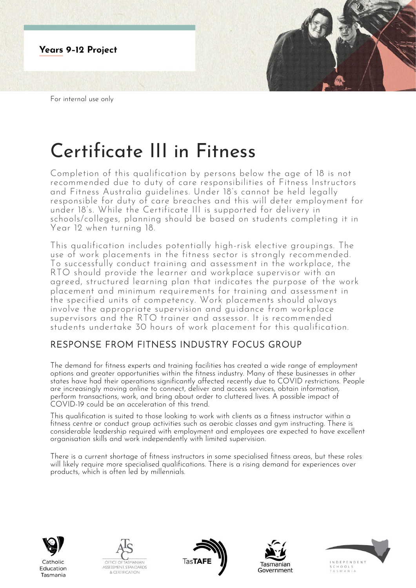

# Certificate III in Fitness

Completion of this qualification by persons below the age of 18 is not recommended due to duty of care responsibilities of Fitness Instructors and Fitness Australia guidelines. Under 18's cannot be held legally responsible for duty of care breaches and this will deter employment for under 18's. While the Certificate III is supported for delivery in schools/colleges, planning should be based on students completing it in Year 12 when turning 18.

This qualification includes potentially high-risk elective groupings. The use of work placements in the fitness sector is strongly recommended. To successfully conduct training and assessment in the workplace, the RTO should provide the learner and workplace supervisor with an agreed, structured learning plan that indicates the purpose of the work placement and minimum requirements for training and assessment in the specified units of competency. Work placements should always involve the appropriate supervision and guidance from workplace supervisors and the RTO trainer and assessor. It is recommended students undertake 30 hours of work placement for this qualification.

# RESPONSE FROM FITNESS INDUSTRY FOCUS GROUP

The demand for fitness experts and training facilities has created a wide range of employment options and greater opportunities within the fitness industry. Many of these businesses in other states have had their operations significantly affected recently due to COVID restrictions. People are increasingly moving online to connect, deliver and access services, obtain information, perform transactions, work, and bring about order to cluttered lives. A possible impact of COVID-19 could be an acceleration of this trend.

This qualification is suited to those looking to work with clients as a fitness instructor within a fitness centre or conduct group activities such as aerobic classes and gym instructing. There is considerable leadership required with employment and employees are expected to have excellent organisation skills and work independently with limited supervision.

There is a current shortage of fitness instructors in some specialised fitness areas, but these roles will likely require more specialised qualifications. There is a rising demand for experiences over products, which is often led by millennials.



Education

Tasmania